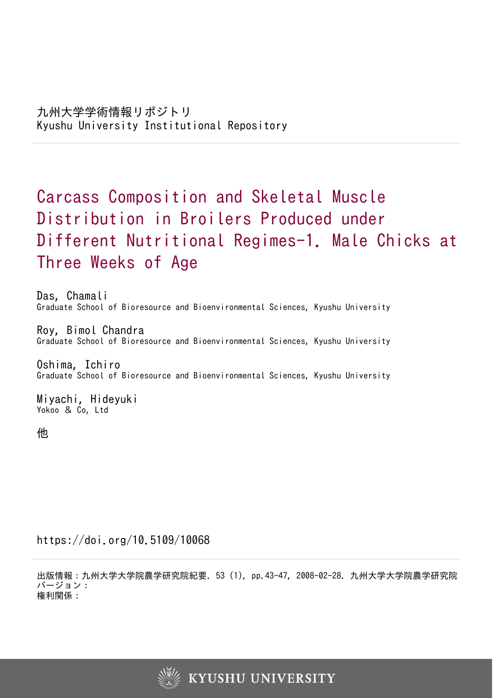# Carcass Composition and Skeletal Muscle Distribution in Broilers Produced under Different Nutritional Regimes-1. Male Chicks at Three Weeks of Age

Das, Chamali Graduate School of Bioresource and Bioenvironmental Sciences, Kyushu University

Roy, Bimol Chandra Graduate School of Bioresource and Bioenvironmental Sciences, Kyushu University

Oshima, Ichiro Graduate School of Bioresource and Bioenvironmental Sciences, Kyushu University

Miyachi, Hideyuki Yokoo & Co, Ltd

他

https://doi.org/10.5109/10068

出版情報:九州大学大学院農学研究院紀要. 53 (1), pp.43-47, 2008-02-28. 九州大学大学院農学研究院 バージョン: 権利関係:

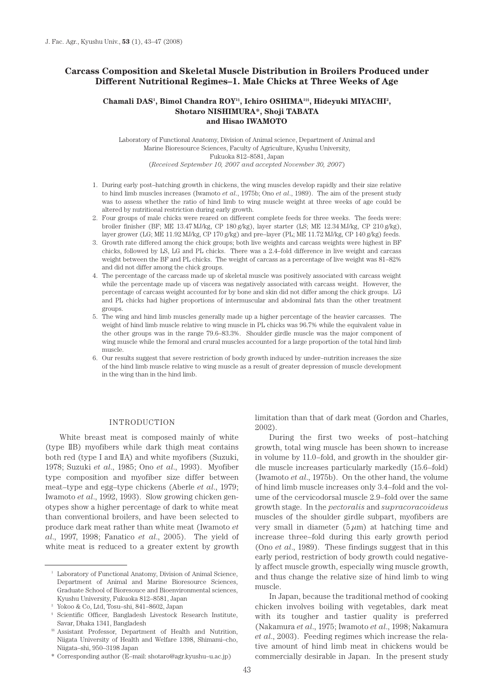# **Carcass Composition and Skeletal Muscle Distribution in Broilers Produced under Different Nutritional Regimes–1. Male Chicks at Three Weeks of Age**

# Chamali DAS<sup>1</sup>, Bimol Chandra ROY<sup>1§</sup>, Ichiro OSHIMA<sup>1§§</sup>, Hideyuki MIYACHI<sup>2</sup>, **Shotaro NISHIMURA\*, Shoji TABATA and Hisao IWAMOTO**

Laboratory of Functional Anatomy, Division of Animal science, Department of Animal and Marine Bioresource Sciences, Faculty of Agriculture, Kyushu University, Fukuoka 812–8581, Japan (*Received September 10, 2007 and accepted November 30, 2007*)

- 1. During early post–hatching growth in chickens, the wing muscles develop rapidly and their size relative to hind limb muscles increases (Iwamoto *et al*., 1975b; Ono *et al*., 1989). The aim of the present study was to assess whether the ratio of hind limb to wing muscle weight at three weeks of age could be altered by nutritional restriction during early growth.
- 2. Four groups of male chicks were reared on different complete feeds for three weeks. The feeds were: broiler finisher (BF; ME 13.47 MJ/kg, CP 180 g/kg), layer starter (LS; ME 12.34 MJ/kg, CP 210 g/kg), layer grower (LG; ME 11.92 MJ/kg, CP 170 g/kg) and pre–layer (PL; ME 11.72 MJ/kg, CP 140 g/kg) feeds.
- 3. Growth rate differed among the chick groups; both live weights and carcass weights were highest in BF chicks, followed by LS, LG and PL chicks. There was a 2.4–fold difference in live weight and carcass weight between the BF and PL chicks. The weight of carcass as a percentage of live weight was 81–82% and did not differ among the chick groups.
- 4. The percentage of the carcass made up of skeletal muscle was positively associated with carcass weight while the percentage made up of viscera was negatively associated with carcass weight. However, the percentage of carcass weight accounted for by bone and skin did not differ among the chick groups. LG and PL chicks had higher proportions of intermuscular and abdominal fats than the other treatment groups.
- 5. The wing and hind limb muscles generally made up a higher percentage of the heavier carcasses. The weight of hind limb muscle relative to wing muscle in PL chicks was 96.7% while the equivalent value in the other groups was in the range 79.6–83.3%. Shoulder girdle muscle was the major component of wing muscle while the femoral and crural muscles accounted for a large proportion of the total hind limb muscle.
- 6. Our results suggest that severe restriction of body growth induced by under–nutrition increases the size of the hind limb muscle relative to wing muscle as a result of greater depression of muscle development in the wing than in the hind limb.

# INTRODUCTION

White breast meat is composed mainly of white (type IIB) myofibers while dark thigh meat contains both red (type I and IIA) and white myofibers (Suzuki, 1978; Suzuki *et al*., 1985; Ono *et al*., 1993). Myofiber type composition and myofiber size differ between meat–type and egg–type chickens (Aberle *et al*., 1979; Iwamoto *et al*., 1992, 1993). Slow growing chicken genotypes show a higher percentage of dark to white meat than conventional broilers, and have been selected to produce dark meat rather than white meat (Iwamoto *et al*., 1997, 1998; Fanatico *et al*., 2005). The yield of white meat is reduced to a greater extent by growth limitation than that of dark meat (Gordon and Charles, 2002).

During the first two weeks of post–hatching growth, total wing muscle has been shown to increase in volume by 11.0–fold, and growth in the shoulder girdle muscle increases particularly markedly (15.6–fold) (Iwamoto *et al*., 1975b). On the other hand, the volume of hind limb muscle increases only 3.4–fold and the volume of the cervicodorsal muscle 2.9–fold over the same growth stage. In the *pectoralis* and *supracoracoideus*  muscles of the shoulder girdle subpart, myofibers are very small in diameter  $(5 \mu m)$  at hatching time and increase three–fold during this early growth period (Ono *et al*., 1989). These findings suggest that in this early period, restriction of body growth could negatively affect muscle growth, especially wing muscle growth, and thus change the relative size of hind limb to wing muscle.

In Japan, because the traditional method of cooking chicken involves boiling with vegetables, dark meat with its tougher and tastier quality is preferred (Nakamura *et al*., 1975; Iwamoto *et al*., 1998; Nakamura *et al*., 2003). Feeding regimes which increase the relative amount of hind limb meat in chickens would be commercially desirable in Japan. In the present study

<sup>&</sup>lt;sup>1</sup> Laboratory of Functional Anatomy, Division of Animal Science, Department of Animal and Marine Bioresource Sciences, Graduate School of Bioresouce and Bioenvironmental sciences, Kyushu University, Fukuoka 812–8581, Japan

<sup>2</sup> Yokoo & Co, Ltd, Tosu–shi, 841–8602, Japan

<sup>§</sup> Scientific Officer, Bangladesh Livestock Research Institute, Savar, Dhaka 1341, Bangladesh

<sup>§§</sup> Assistant Professor, Department of Health and Nutrition, Niigata University of Health and Welfare 1398, Shimami–cho, Niigata–shi, 950–3198 Japan

<sup>\*</sup> Corresponding author (E–mail: shotaro@agr.kyushu–u.ac.jp)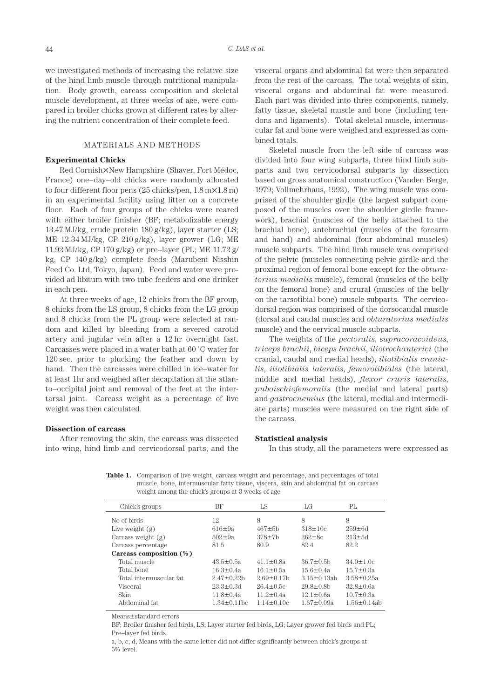we investigated methods of increasing the relative size of the hind limb muscle through nutritional manipulation. Body growth, carcass composition and skeletal muscle development, at three weeks of age, were compared in broiler chicks grown at different rates by altering the nutrient concentration of their complete feed.

# MATERIALS AND METHODS

# **Experimental Chicks**

Red Cornish×New Hampshire (Shaver, Fort Médoc, France) one–day–old chicks were randomly allocated to four different floor pens (25 chicks/pen, 1.8 m×1.8 m) in an experimental facility using litter on a concrete floor. Each of four groups of the chicks were reared with either broiler finisher (BF; metabolizable energy 13.47 MJ/kg, crude protein 180 g/kg), layer starter (LS; ME 12.34 MJ/kg, CP 210 g/kg), layer grower (LG; ME 11.92 MJ/kg, CP 170 g/kg) or pre–layer (PL; ME 11.72 g/ kg, CP 140 g/kg) complete feeds (Marubeni Nisshin Feed Co. Ltd, Tokyo, Japan). Feed and water were provided ad libitum with two tube feeders and one drinker in each pen.

At three weeks of age, 12 chicks from the BF group, 8 chicks from the LS group, 8 chicks from the LG group and 8 chicks from the PL group were selected at random and killed by bleeding from a severed carotid artery and jugular vein after a 12 hr overnight fast. Carcasses were placed in a water bath at 60 ˚C water for 120 sec. prior to plucking the feather and down by hand. Then the carcasses were chilled in ice–water for at least 1hr and weighed after decapitation at the atlanto–occipital joint and removal of the feet at the intertarsal joint. Carcass weight as a percentage of live weight was then calculated.

## **Dissection of carcass**

After removing the skin, the carcass was dissected into wing, hind limb and cervicodorsal parts, and the visceral organs and abdominal fat were then separated from the rest of the carcass. The total weights of skin, visceral organs and abdominal fat were measured. Each part was divided into three components, namely, fatty tissue, skeletal muscle and bone (including tendons and ligaments). Total skeletal muscle, intermuscular fat and bone were weighed and expressed as combined totals.

Skeletal muscle from the left side of carcass was divided into four wing subparts, three hind limb subparts and two cervicodorsal subparts by dissection based on gross anatomical construction (Vanden Berge, 1979; Vollmehrhaus, 1992). The wing muscle was comprised of the shoulder girdle (the largest subpart composed of the muscles over the shoulder girdle framework), brachial (muscles of the belly attached to the brachial bone), antebrachial (muscles of the forearm and hand) and abdominal (four abdominal muscles) muscle subparts. The hind limb muscle was comprised of the pelvic (muscles connecting pelvic girdle and the proximal region of femoral bone except for the *obturatorius medialis* muscle), femoral (muscles of the belly on the femoral bone) and crural (muscles of the belly on the tarsotibial bone) muscle subparts. The cervicodorsal region was comprised of the dorsocaudal muscle (dorsal and caudal muscles and *obturatorius medialis*  muscle) and the cervical muscle subparts.

The weights of the *pectoralis*, s*upracoracoideus*, *triceps brachii*, *biceps brachii*, *iliotrochanterici* (the cranial, caudal and medial heads), *iliotibialis cranialis*, *iliotibialis lateralis*, *femorotibiales* (the lateral, middle and medial heads), *flexor cruris lateralis*, *puboischiofemoralis* (the medial and lateral parts) and *gastrocnemius* (the lateral, medial and intermediate parts) muscles were measured on the right side of the carcass.

#### **Statistical analysis**

In this study, all the parameters were expressed as

Table 1. Comparison of live weight, carcass weight and percentage, and percentages of total muscle, bone, intermuscular fatty tissue, viscera, skin and abdominal fat on carcass weight among the chick's groups at 3 weeks of age

| Chick's groups             | BF                 | LS               | LG               | PI <sub>r</sub>  |
|----------------------------|--------------------|------------------|------------------|------------------|
| No of birds                | 12                 | 8                | 8                | 8                |
| Live weight $(g)$          | $616 \pm 9a$       | $467 + 5h$       | $318 \pm 10c$    | $259 \pm 6d$     |
| Carcass weight $(g)$       | $502 \pm 9a$       | $378 \pm 7b$     | $262 \pm 8c$     | $213 \pm 5d$     |
| Carcass percentage         | 81.5               | 80.9             | 82.4             | 82.2             |
| Carcass composition $(\%)$ |                    |                  |                  |                  |
| Total muscle               | $43.5 \pm 0.5a$    | $41.1 \pm 0.8a$  | $36.7 \pm 0.5$ b | $34.0 \pm 1.0c$  |
| Total bone                 | $16.3 \pm 0.4a$    | $16.1 \pm 0.5a$  | $15.6 \pm 0.4a$  | $15.7 \pm 0.3a$  |
| Total intermuscular fat    | $2.47 + 0.22h$     | $2.69 + 0.17h$   | $315+013ab$      | $358+025a$       |
| Visceral                   | $23.3 \pm 0.3d$    | $26.4 \pm 0.5c$  | $29.8 \pm 0.8$ b | $32.8 \pm 0.6a$  |
| Skin                       | $11.8 \pm 0.4a$    | $11.2 \pm 0.4a$  | $12.1 \pm 0.6a$  | $10.7 \pm 0.3a$  |
| Abdominal fat.             | $1.34 \pm 0.11$ bc | $1.14 \pm 0.10c$ | $167+009a$       | $1.56 + 0.14$ ab |

Means±standard errors

BF; Broiler finisher fed birds, LS; Layer starter fed birds, LG; Layer grower fed birds and PL; Pre–layer fed birds.

a, b, c, d; Means with the same letter did not differ significantly between chick's groups at 5% level.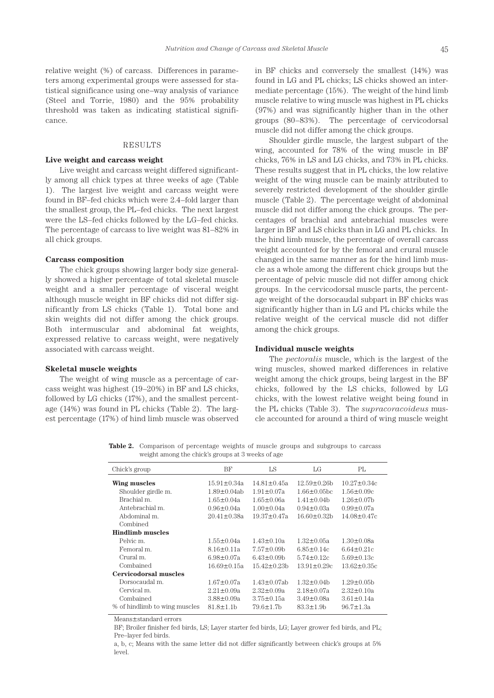relative weight (%) of carcass. Differences in parameters among experimental groups were assessed for statistical significance using one–way analysis of variance (Steel and Torrie, 1980) and the 95% probability threshold was taken as indicating statistical significance.

#### RESULTS

## **Live weight and carcass weight**

Live weight and carcass weight differed significantly among all chick types at three weeks of age (Table 1). The largest live weight and carcass weight were found in BF–fed chicks which were 2.4–fold larger than the smallest group, the PL–fed chicks. The next largest were the LS–fed chicks followed by the LG–fed chicks. The percentage of carcass to live weight was 81–82% in all chick groups.

#### **Carcass composition**

The chick groups showing larger body size generally showed a higher percentage of total skeletal muscle weight and a smaller percentage of visceral weight although muscle weight in BF chicks did not differ significantly from LS chicks (Table 1). Total bone and skin weights did not differ among the chick groups. Both intermuscular and abdominal fat weights, expressed relative to carcass weight, were negatively associated with carcass weight.

#### **Skeletal muscle weights**

The weight of wing muscle as a percentage of carcass weight was highest (19–20%) in BF and LS chicks, followed by LG chicks (17%), and the smallest percentage (14%) was found in PL chicks (Table 2). The largest percentage (17%) of hind limb muscle was observed in BF chicks and conversely the smallest (14%) was found in LG and PL chicks; LS chicks showed an intermediate percentage (15%). The weight of the hind limb muscle relative to wing muscle was highest in PL chicks (97%) and was significantly higher than in the other groups (80–83%). The percentage of cervicodorsal muscle did not differ among the chick groups.

Shoulder girdle muscle, the largest subpart of the wing, accounted for 78% of the wing muscle in BF chicks, 76% in LS and LG chicks, and 73% in PL chicks. These results suggest that in PL chicks, the low relative weight of the wing muscle can be mainly attributed to severely restricted development of the shoulder girdle muscle (Table 2). The percentage weight of abdominal muscle did not differ among the chick groups. The percentages of brachial and antebrachial muscles were larger in BF and LS chicks than in LG and PL chicks. In the hind limb muscle, the percentage of overall carcass weight accounted for by the femoral and crural muscle changed in the same manner as for the hind limb muscle as a whole among the different chick groups but the percentage of pelvic muscle did not differ among chick groups. In the cervicodorsal muscle parts, the percentage weight of the dorsocaudal subpart in BF chicks was significantly higher than in LG and PL chicks while the relative weight of the cervical muscle did not differ among the chick groups.

## **Individual muscle weights**

The *pectoralis* muscle, which is the largest of the wing muscles, showed marked differences in relative weight among the chick groups, being largest in the BF chicks, followed by the LS chicks, followed by LG chicks, with the lowest relative weight being found in the PL chicks (Table 3). The *supracoracoideus* muscle accounted for around a third of wing muscle weight

**Table 2.** Comparison of percentage weights of muscle groups and subgroups to carcass weight among the chick's groups at 3 weeks of age

| Chick's group                 | BF                 | LS                 | LG                 | PL                |
|-------------------------------|--------------------|--------------------|--------------------|-------------------|
| Wing muscles                  | $15.91 \pm 0.34a$  | $14.81 \pm 0.45a$  | $12.59 \pm 0.26$ b | $10.27 \pm 0.34c$ |
| Shoulder girdle m.            | $1.89 \pm 0.04$ ab | $1.91 \pm 0.07a$   | $1.66 \pm 0.05$ bc | $1.56 \pm 0.09c$  |
| Brachial m.                   | $1.65 \pm 0.04a$   | $1.65 \pm 0.06a$   | $1.41 \pm 0.04$    | $1.26 \pm 0.07$ b |
| Antebrachial m.               | $0.96 \pm 0.04a$   | $1.00 \pm 0.04a$   | $0.94 \pm 0.03a$   | $0.99 \pm 0.07a$  |
| Abdominal m.                  | $20.41 \pm 0.38a$  | $19.37 \pm 0.47a$  | $16.60 \pm 0.32$ b | $14.08 \pm 0.47c$ |
| Combined                      |                    |                    |                    |                   |
| <b>Hindlimb muscles</b>       |                    |                    |                    |                   |
| Pelvic m.                     | $1.55 \pm 0.04a$   | $1.43 \pm 0.10a$   | $1.32 \pm 0.05a$   | $1.30 \pm 0.08a$  |
| Femoral m.                    | $8.16 \pm 0.11a$   | $7.57 \pm 0.09$ b  | $6.85 \pm 0.14c$   | $6.64 \pm 0.21c$  |
| Crural m.                     | $6.98 \pm 0.07$ a  | $6.43 \pm 0.09$    | $5.74 \pm 0.12c$   | $5.69 \pm 0.13c$  |
| Combained                     | $16.69 \pm 0.15a$  | $15.42 \pm 0.23h$  | $13.91 \pm 0.29c$  | $13.62 \pm 0.35c$ |
| <b>Cervicodorsal muscles</b>  |                    |                    |                    |                   |
| Dorsocaudal m.                | $1.67 \pm 0.07a$   | $1.43 \pm 0.07$ ab | $1.32 \pm 0.04$    | $1.29 \pm 0.05$ b |
| Cervical m.                   | $2.21 \pm 0.09a$   | $2.32 \pm 0.09a$   | $2.18 \pm 0.07a$   | $2.32 \pm 0.10a$  |
| Combained                     | $3.88 \pm 0.09a$   | $3.75 \pm 0.15a$   | $3.49 \pm 0.08a$   | $3.61 \pm 0.14a$  |
| % of hindlimb to wing muscles | $81.8 \pm 1.1$ b   | $79.6 \pm 1.7$ b   | $83.3 \pm 1.9$ b   | $96.7 \pm 1.3a$   |

Means±standard errors

BF; Broiler finisher fed birds, LS; Layer starter fed birds, LG; Layer grower fed birds, and PL; Pre–layer fed birds.

a, b, c; Means with the same letter did not differ significantly between chick's groups at 5% level.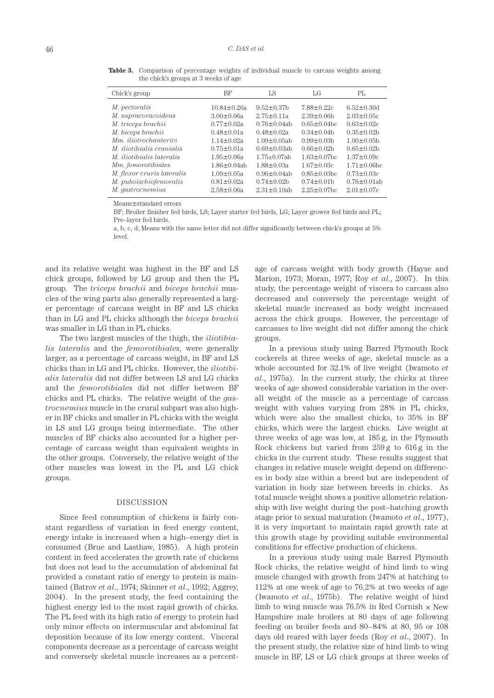| Chick's group                    | BF                 | LS                 | LG                 | PL                 |
|----------------------------------|--------------------|--------------------|--------------------|--------------------|
| <i>M.</i> pectoralis             | $10.84 \pm 0.26a$  | $9.52 \pm 0.37$ b  | $7.88 \pm 0.22c$   | $6.52 \pm 0.30$ d  |
| M. supracoracoideus              | $3.00 \pm 0.06a$   | $2.75 \pm 0.11a$   | $2.39 \pm 0.06$    | $2.03 \pm 0.05c$   |
| M. triceps brachii               | $0.77 \pm 0.02a$   | $0.76 \pm 0.04$ ab | $0.65 \pm 0.04$ bc | $0.63 \pm 0.02c$   |
| M. biceps brachii                | $0.48 \pm 0.01a$   | $0.48 \pm 0.02a$   | $0.34 \pm 0.04$    | $0.35 \pm 0.02$ b  |
| Mm. iliotrochanterici            | $1.14 \pm 0.02a$   | $1.09 \pm 0.05$ ab | $0.99 \pm 0.03$    | $1.00 \pm 0.05$ b  |
| <i>M. iliotibialis cranialis</i> | $0.75 \pm 0.01a$   | $0.69 \pm 0.03$ ab | $0.66 \pm 0.02$    | $0.65 \pm 0.02$ b  |
| <i>M. iliotibialis lateralis</i> | $1.95 \pm 0.06a$   | $1.75+0.07ab$      | $1.63 \pm 0.07$ bc | $1.37 \pm 0.09c$   |
| Mm. femorotibiales               | $1.86 \pm 0.04$ ab | $1.88 \pm 0.03a$   | $1.67 \pm 0.03c$   | $1.71 \pm 0.06$ bc |
| M. flexor cruris lateralis       | $1.09 \pm 0.05a$   | $0.96 \pm 0.04$ ab | $0.85 \pm 0.03$ bc | $0.73 \pm 0.03c$   |
| M. puboischiofemoralis           | $0.81 \pm 0.02a$   | $0.74 \pm 0.02$ b  | $0.74 \pm 0.01$ b  | $0.76 \pm 0.01$ ab |
| M. gastrocnemius                 | $2.58 \pm 0.06a$   | $2.31 \pm 0.10$ ab | $2.25 \pm 0.07$ bc | $2.01 \pm 0.07c$   |

**Table 3.** Comparison of percentage weights of individual muscle to carcass weights among the chick's groups at 3 weeks of age

Means±standard errors

BF; Broiler finisher fed birds, LS; Layer starter fed birds, LG; Layer grower fed birds and PL; Pre–layer fed birds.

a, b, c, d; Means with the same letter did not differ significantly between chick's groups at 5% level.

and its relative weight was highest in the BF and LS chick groups, followed by LG group and then the PL group. The *triceps brachii* and *biceps brachii* muscles of the wing parts also generally represented a larger percentage of carcass weight in BF and LS chicks than in LG and PL chicks although the *biceps brachii* was smaller in LG than in PL chicks.

The two largest muscles of the thigh, the *iliotibialis lateralis* and the *femorotibiales*, were generally larger, as a percentage of carcass weight, in BF and LS chicks than in LG and PL chicks. However, the *iliotibialis lateralis* did not differ between LS and LG chicks and the *femorotibiales* did not differ between BF chicks and PL chicks. The relative weight of the *gastrocnemius* muscle in the crural subpart was also higher in BF chicks and smaller in PL chicks with the weight in LS and LG groups being intermediate. The other muscles of BF chicks also accounted for a higher percentage of carcass weight than equivalent weights in the other groups. Conversely, the relative weight of the other muscles was lowest in the PL and LG chick groups.

# DISCUSSION

Since feed consumption of chickens is fairly constant regardless of variation in feed energy content, energy intake is increased when a high–energy diet is consumed (Brue and Lasthaw, 1985). A high protein content in feed accelerates the growth rate of chickens but does not lead to the accumulation of abdominal fat provided a constant ratio of energy to protein is maintained (Batrov *et al*., 1974; Skinner *et al*., 1992; Aggrey, 2004). In the present study, the feed containing the highest energy led to the most rapid growth of chicks. The PL feed with its high ratio of energy to protein had only minor effects on intermuscular and abdominal fat deposition because of its low energy content. Visceral components decrease as a percentage of carcass weight and conversely skeletal muscle increases as a percentage of carcass weight with body growth (Hayse and Marion, 1973; Moran, 1977; Roy *et al*., 2007). In this study, the percentage weight of viscera to carcass also decreased and conversely the percentage weight of skeletal muscle increased as body weight increased across the chick groups. However, the percentage of carcasses to live weight did not differ among the chick groups.

In a previous study using Barred Plymouth Rock cockerels at three weeks of age, skeletal muscle as a whole accounted for 32.1% of live weight (Iwamoto *et al*., 1975a). In the current study, the chicks at three weeks of age showed considerable variation in the overall weight of the muscle as a percentage of carcass weight with values varying from 28% in PL chicks, which were also the smallest chicks, to 35% in BF chicks, which were the largest chicks. Live weight at three weeks of age was low, at 185 g, in the Plymouth Rock chickens but varied from 259 g to 616 g in the chicks in the current study. These results suggest that changes in relative muscle weight depend on differences in body size within a breed but are independent of variation in body size between breeds in chicks. As total muscle weight shows a positive allometric relationship with live weight during the post–hatching growth stage prior to sexual maturation (Iwamoto *et al*., 1977), it is very important to maintain rapid growth rate at this growth stage by providing suitable environmental conditions for effective production of chickens.

In a previous study using male Barred Plymouth Rock chicks, the relative weight of hind limb to wing muscle changed with growth from 247% at hatching to 112% at one week of age to 76.2% at two weeks of age (Iwamoto *et al*., 1975b). The relative weight of hind limb to wing muscle was 76.5% in Red Cornish  $\times$  New Hampshire male broilers at 80 days of age following feeding on broiler feeds and 80–84% at 80, 95 or 108 days old reared with layer feeds (Roy *et al*., 2007). In the present study, the relative size of hind limb to wing muscle in BF, LS or LG chick groups at three weeks of